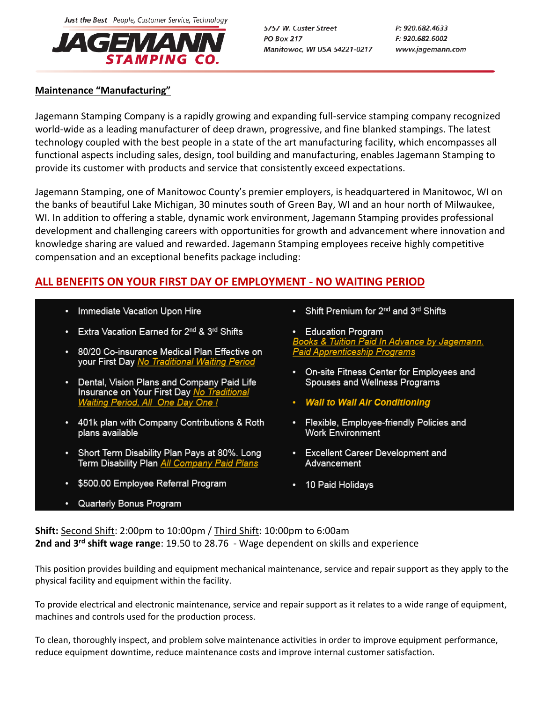

5757 W. Custer Street **PO Box 217** Manitowoc, WI USA 54221-0217 P: 920.682.4633 F: 920.682.6002 www.jagemann.com

## **Maintenance "Manufacturing"**

Jagemann Stamping Company is a rapidly growing and expanding full-service stamping company recognized world-wide as a leading manufacturer of deep drawn, progressive, and fine blanked stampings. The latest technology coupled with the best people in a state of the art manufacturing facility, which encompasses all functional aspects including sales, design, tool building and manufacturing, enables Jagemann Stamping to provide its customer with products and service that consistently exceed expectations.

Jagemann Stamping, one of Manitowoc County's premier employers, is headquartered in Manitowoc, WI on the banks of beautiful Lake Michigan, 30 minutes south of Green Bay, WI and an hour north of Milwaukee, WI. In addition to offering a stable, dynamic work environment, Jagemann Stamping provides professional development and challenging careers with opportunities for growth and advancement where innovation and knowledge sharing are valued and rewarded. Jagemann Stamping employees receive highly competitive compensation and an exceptional benefits package including:

## **ALL BENEFITS ON YOUR FIRST DAY OF EMPLOYMENT - NO WAITING PERIOD**

- Immediate Vacation Upon Hire
- Extra Vacation Earned for 2<sup>nd</sup> & 3<sup>rd</sup> Shifts
- 80/20 Co-insurance Medical Plan Effective on your First Day No Traditional Waiting Period
- Dental, Vision Plans and Company Paid Life Insurance on Your First Day No Traditional **Waiting Period, All One Day One !**
- 401k plan with Company Contributions & Roth plans available
- Short Term Disability Plan Pays at 80%. Long Term Disability Plan All Company Paid Plans
- \$500.00 Employee Referral Program
- Quarterly Bonus Program
- Shift Premium for 2<sup>nd</sup> and 3<sup>rd</sup> Shifts
- **Education Program** oks & Tuition Paid In Advance by Jagemann. **Paid Apprenticeship Programs**
- On-site Fitness Center for Employees and Spouses and Wellness Programs
- Wall to Wall Air Conditioning
- Flexible, Employee-friendly Policies and **Work Environment**
- Excellent Career Development and Advancement
- 10 Paid Holidays

**Shift:** Second Shift: 2:00pm to 10:00pm / Third Shift: 10:00pm to 6:00am **2nd and 3rd shift wage range**: 19.50 to 28.76 - Wage dependent on skills and experience

This position provides building and equipment mechanical maintenance, service and repair support as they apply to the physical facility and equipment within the facility.

To provide electrical and electronic maintenance, service and repair support as it relates to a wide range of equipment, machines and controls used for the production process.

To clean, thoroughly inspect, and problem solve maintenance activities in order to improve equipment performance, reduce equipment downtime, reduce maintenance costs and improve internal customer satisfaction.